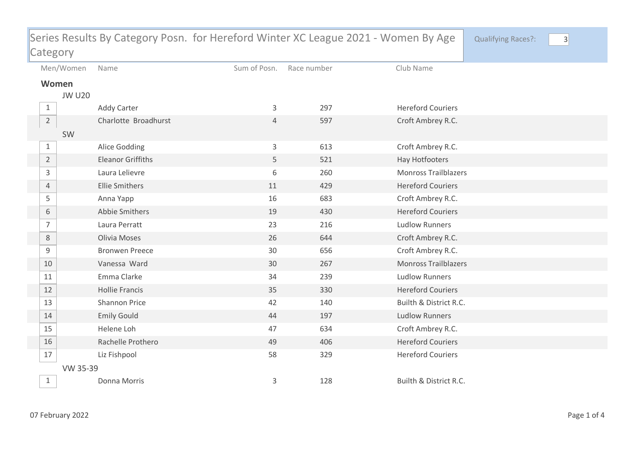| Series Results By Category Posn. for Hereford Winter XC League 2021 - Women By Age |               |                          |                |             |                             | <b>Qualifying Races?:</b> | $\vert 3 \vert$ |
|------------------------------------------------------------------------------------|---------------|--------------------------|----------------|-------------|-----------------------------|---------------------------|-----------------|
| Category                                                                           |               |                          |                |             |                             |                           |                 |
|                                                                                    | Men/Women     | Name                     | Sum of Posn.   | Race number | Club Name                   |                           |                 |
| Women                                                                              |               |                          |                |             |                             |                           |                 |
|                                                                                    | <b>JW U20</b> |                          |                |             |                             |                           |                 |
| $\mathbf{1}$                                                                       |               | <b>Addy Carter</b>       | 3              | 297         | <b>Hereford Couriers</b>    |                           |                 |
| $\overline{2}$                                                                     |               | Charlotte Broadhurst     | $\overline{4}$ | 597         | Croft Ambrey R.C.           |                           |                 |
|                                                                                    | SW            |                          |                |             |                             |                           |                 |
| $\mathbf{1}$                                                                       |               | Alice Godding            | 3              | 613         | Croft Ambrey R.C.           |                           |                 |
| $\overline{2}$                                                                     |               | <b>Eleanor Griffiths</b> | 5              | 521         | Hay Hotfooters              |                           |                 |
| 3                                                                                  |               | Laura Lelievre           | 6              | 260         | <b>Monross Trailblazers</b> |                           |                 |
| 4                                                                                  |               | <b>Ellie Smithers</b>    | 11             | 429         | <b>Hereford Couriers</b>    |                           |                 |
| 5                                                                                  |               | Anna Yapp                | 16             | 683         | Croft Ambrey R.C.           |                           |                 |
| 6                                                                                  |               | Abbie Smithers           | 19             | 430         | <b>Hereford Couriers</b>    |                           |                 |
| $\overline{7}$                                                                     |               | Laura Perratt            | 23             | 216         | <b>Ludlow Runners</b>       |                           |                 |
| $\,8\,$                                                                            |               | Olivia Moses             | 26             | 644         | Croft Ambrey R.C.           |                           |                 |
| 9                                                                                  |               | <b>Bronwen Preece</b>    | 30             | 656         | Croft Ambrey R.C.           |                           |                 |
| 10                                                                                 |               | Vanessa Ward             | 30             | 267         | <b>Monross Trailblazers</b> |                           |                 |
| 11                                                                                 |               | Emma Clarke              | 34             | 239         | <b>Ludlow Runners</b>       |                           |                 |
| 12                                                                                 |               | <b>Hollie Francis</b>    | 35             | 330         | <b>Hereford Couriers</b>    |                           |                 |
| 13                                                                                 |               | Shannon Price            | 42             | 140         | Builth & District R.C.      |                           |                 |
| 14                                                                                 |               | <b>Emily Gould</b>       | 44             | 197         | <b>Ludlow Runners</b>       |                           |                 |
| 15                                                                                 |               | Helene Loh               | 47             | 634         | Croft Ambrey R.C.           |                           |                 |
| 16                                                                                 |               | Rachelle Prothero        | 49             | 406         | <b>Hereford Couriers</b>    |                           |                 |
| 17                                                                                 |               | Liz Fishpool             | 58             | 329         | <b>Hereford Couriers</b>    |                           |                 |
| VW 35-39                                                                           |               |                          |                |             |                             |                           |                 |
| $\mathbf{1}$                                                                       |               | Donna Morris             | 3              | 128         | Builth & District R.C.      |                           |                 |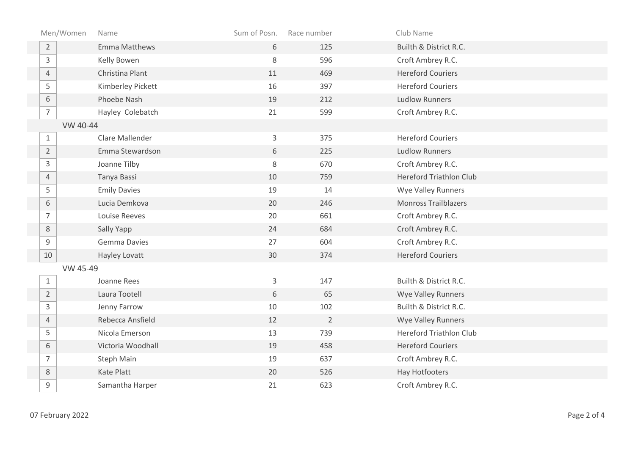| Men/Women      | Name                 | Sum of Posn. | Race number    | Club Name                      |
|----------------|----------------------|--------------|----------------|--------------------------------|
| $\overline{2}$ | <b>Emma Matthews</b> | 6            | 125            | Builth & District R.C.         |
| $\mathsf{3}$   | Kelly Bowen          | 8            | 596            | Croft Ambrey R.C.              |
| $\overline{4}$ | Christina Plant      | 11           | 469            | <b>Hereford Couriers</b>       |
| 5              | Kimberley Pickett    | 16           | 397            | <b>Hereford Couriers</b>       |
| $\,$ 6 $\,$    | Phoebe Nash          | 19           | 212            | <b>Ludlow Runners</b>          |
| $\overline{7}$ | Hayley Colebatch     | 21           | 599            | Croft Ambrey R.C.              |
| VW 40-44       |                      |              |                |                                |
| $\mathbf{1}$   | Clare Mallender      | $\mathsf{3}$ | 375            | <b>Hereford Couriers</b>       |
| $\overline{2}$ | Emma Stewardson      | 6            | 225            | <b>Ludlow Runners</b>          |
| $\mathsf{3}$   | Joanne Tilby         | 8            | 670            | Croft Ambrey R.C.              |
| $\overline{4}$ | Tanya Bassi          | 10           | 759            | <b>Hereford Triathlon Club</b> |
| 5              | <b>Emily Davies</b>  | 19           | 14             | Wye Valley Runners             |
| $6\,$          | Lucia Demkova        | 20           | 246            | <b>Monross Trailblazers</b>    |
| $\overline{7}$ | Louise Reeves        | 20           | 661            | Croft Ambrey R.C.              |
| $\,8\,$        | Sally Yapp           | 24           | 684            | Croft Ambrey R.C.              |
| 9              | <b>Gemma Davies</b>  | 27           | 604            | Croft Ambrey R.C.              |
| 10             | Hayley Lovatt        | 30           | 374            | <b>Hereford Couriers</b>       |
| VW 45-49       |                      |              |                |                                |
| $\mathbf{1}$   | Joanne Rees          | $\mathsf{3}$ | 147            | Builth & District R.C.         |
| $\overline{2}$ | Laura Tootell        | 6            | 65             | <b>Wye Valley Runners</b>      |
| 3              | Jenny Farrow         | 10           | 102            | Builth & District R.C.         |
| $\overline{4}$ | Rebecca Ansfield     | 12           | $\overline{2}$ | Wye Valley Runners             |
| 5              | Nicola Emerson       | 13           | 739            | <b>Hereford Triathlon Club</b> |
| 6              | Victoria Woodhall    | 19           | 458            | <b>Hereford Couriers</b>       |
| $\overline{7}$ | Steph Main           | 19           | 637            | Croft Ambrey R.C.              |
| $8\,$          | Kate Platt           | 20           | 526            | Hay Hotfooters                 |
| 9              | Samantha Harper      | 21           | 623            | Croft Ambrey R.C.              |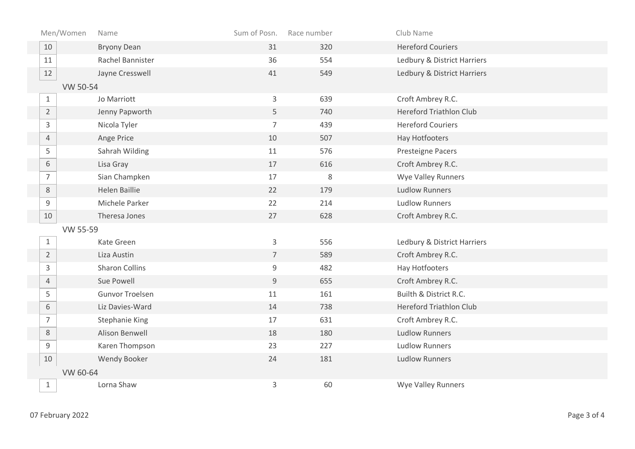| Men/Women      | Name                   | Sum of Posn.   | Race number | Club Name                      |
|----------------|------------------------|----------------|-------------|--------------------------------|
| 10             | <b>Bryony Dean</b>     | 31             | 320         | <b>Hereford Couriers</b>       |
| 11             | Rachel Bannister       | 36             | 554         | Ledbury & District Harriers    |
| 12             | Jayne Cresswell        | 41             | 549         | Ledbury & District Harriers    |
| VW 50-54       |                        |                |             |                                |
| $\mathbf{1}$   | Jo Marriott            | $\mathsf{3}$   | 639         | Croft Ambrey R.C.              |
| $\overline{2}$ | Jenny Papworth         | 5              | 740         | <b>Hereford Triathlon Club</b> |
| $\mathsf{3}$   | Nicola Tyler           | $\overline{7}$ | 439         | <b>Hereford Couriers</b>       |
| $\overline{4}$ | Ange Price             | 10             | 507         | Hay Hotfooters                 |
| 5              | Sahrah Wilding         | 11             | 576         | Presteigne Pacers              |
| $\,$ 6 $\,$    | Lisa Gray              | 17             | 616         | Croft Ambrey R.C.              |
| $\overline{7}$ | Sian Champken          | $17\,$         | 8           | Wye Valley Runners             |
| $8\,$          | <b>Helen Baillie</b>   | 22             | 179         | <b>Ludlow Runners</b>          |
| 9              | Michele Parker         | 22             | 214         | <b>Ludlow Runners</b>          |
| $10\,$         | Theresa Jones          | 27             | 628         | Croft Ambrey R.C.              |
| VW 55-59       |                        |                |             |                                |
| $\mathbf{1}$   | Kate Green             | $\mathsf{3}$   | 556         | Ledbury & District Harriers    |
| $\overline{2}$ | Liza Austin            | $\overline{7}$ | 589         | Croft Ambrey R.C.              |
| $\mathbf{3}$   | <b>Sharon Collins</b>  | $\mathsf 9$    | 482         | Hay Hotfooters                 |
| $\overline{4}$ | Sue Powell             | $\mathsf 9$    | 655         | Croft Ambrey R.C.              |
| 5              | <b>Gunvor Troelsen</b> | $11\,$         | 161         | Builth & District R.C.         |
| 6              | Liz Davies-Ward        | 14             | 738         | <b>Hereford Triathlon Club</b> |
| $\overline{7}$ | <b>Stephanie King</b>  | 17             | 631         | Croft Ambrey R.C.              |
| $8\,$          | Alison Benwell         | 18             | 180         | <b>Ludlow Runners</b>          |
| 9              | Karen Thompson         | 23             | 227         | <b>Ludlow Runners</b>          |
| 10             | Wendy Booker           | 24             | 181         | <b>Ludlow Runners</b>          |
|                | VW 60-64               |                |             |                                |
| $\mathbf{1}$   | Lorna Shaw             | 3              | 60          | <b>Wye Valley Runners</b>      |